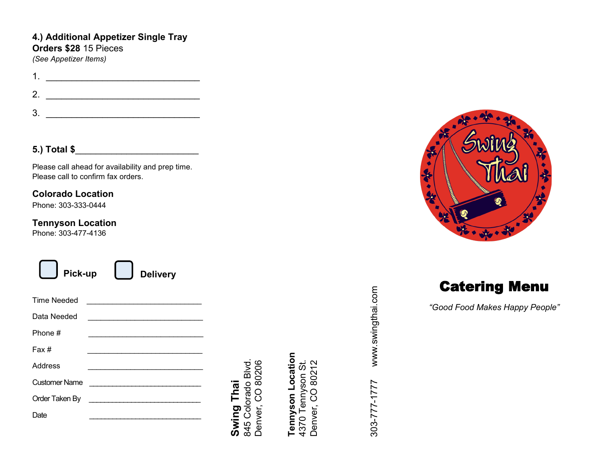### **4.) Additional Appetizer Single Tray Orders \$28** 15 Pieces

*(See Appetizer Items)*

1. \_\_\_\_\_\_\_\_\_\_\_\_\_\_\_\_\_\_\_\_\_\_\_\_\_\_\_\_\_\_ 2. \_\_\_\_\_\_\_\_\_\_\_\_\_\_\_\_\_\_\_\_\_\_\_\_\_\_\_\_\_\_  $3.$ 

#### **5.) Total \$**\_\_\_\_\_\_\_\_\_\_\_\_\_\_\_\_\_\_\_\_\_\_\_\_

Please call ahead for availability and prep time. Please call to confirm fax orders.

#### **Colorado Location**

Phone: 303-333-0444

#### **Tennyson Location**

Phone: 303-477-4136

| Pick-up        | $\mathcal{L}^{\text{max}}$<br><b>Delivery</b> |
|----------------|-----------------------------------------------|
| Time Needed    |                                               |
| Data Needed    |                                               |
| Phone #        | the control of the control of the control of  |
| Fax#           |                                               |
| Address        |                                               |
| Customer Name  | the control of the control of the control of  |
| Order Taken By |                                               |
| Date           |                                               |

845 Colorado Blvd.<br>Denver, CO 80206 845 Colorado Blvd. Denver, CO 80206 **Swing Thai Swing Thai**

# Tennyson Location **Tennyson Location** 4370 Tennyson St. Denver, CO 80212 4370 Tennyson St. Denver, CO 80212

303-777-1777 www.swingthai.com www.swingthai.com 303-777-1777



Catering Menu

*"Good Food Makes Happy People"*